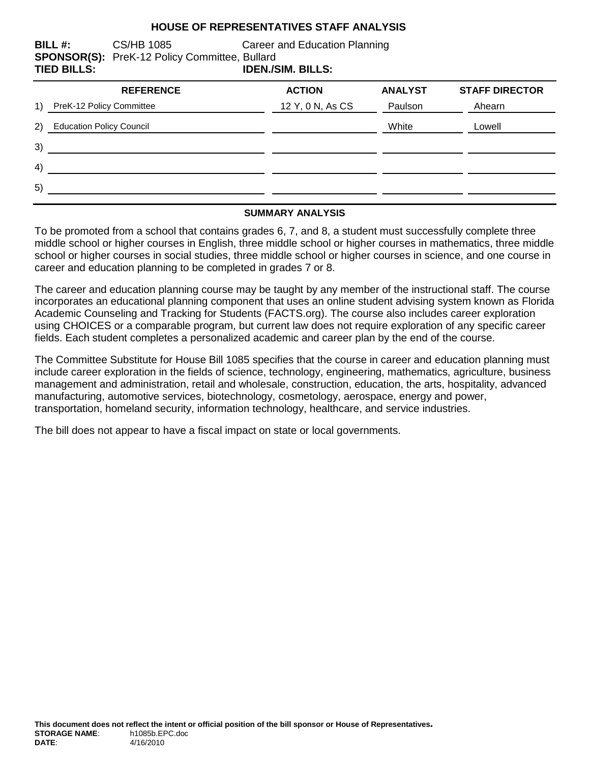#### **HOUSE OF REPRESENTATIVES STAFF ANALYSIS**

**BILL #:** CS/HB 1085 Career and Education Planning **SPONSOR(S):** PreK-12 Policy Committee, Bullard **TIED BILLS: IDEN./SIM. BILLS:**

|    | <b>REFERENCE</b>                | <b>ACTION</b>    | <b>ANALYST</b> | <b>STAFF DIRECTOR</b> |
|----|---------------------------------|------------------|----------------|-----------------------|
|    | 1) PreK-12 Policy Committee     | 12 Y, 0 N, As CS | Paulson        | Ahearn                |
| 2) | <b>Education Policy Council</b> |                  | White          | Lowell                |
| 3) |                                 |                  |                |                       |
| 4) |                                 |                  |                |                       |
| 5) |                                 |                  |                |                       |
|    |                                 |                  |                |                       |

#### **SUMMARY ANALYSIS**

To be promoted from a school that contains grades 6, 7, and 8, a student must successfully complete three middle school or higher courses in English, three middle school or higher courses in mathematics, three middle school or higher courses in social studies, three middle school or higher courses in science, and one course in career and education planning to be completed in grades 7 or 8.

The career and education planning course may be taught by any member of the instructional staff. The course incorporates an educational planning component that uses an online student advising system known as Florida Academic Counseling and Tracking for Students (FACTS.org). The course also includes career exploration using CHOICES or a comparable program, but current law does not require exploration of any specific career fields. Each student completes a personalized academic and career plan by the end of the course.

The Committee Substitute for House Bill 1085 specifies that the course in career and education planning must include career exploration in the fields of science, technology, engineering, mathematics, agriculture, business management and administration, retail and wholesale, construction, education, the arts, hospitality, advanced manufacturing, automotive services, biotechnology, cosmetology, aerospace, energy and power, transportation, homeland security, information technology, healthcare, and service industries.

The bill does not appear to have a fiscal impact on state or local governments.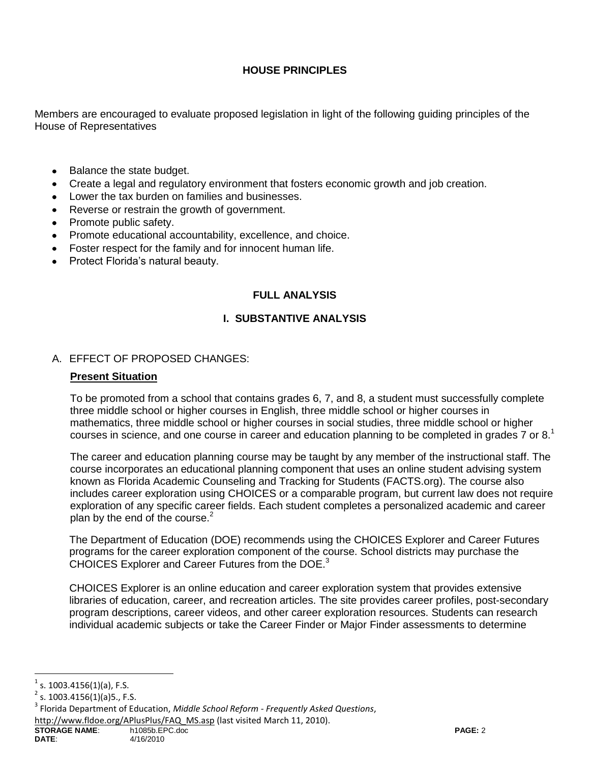# **HOUSE PRINCIPLES**

Members are encouraged to evaluate proposed legislation in light of the following guiding principles of the House of Representatives

- Balance the state budget.  $\bullet$
- Create a legal and regulatory environment that fosters economic growth and job creation.
- Lower the tax burden on families and businesses.
- Reverse or restrain the growth of government.
- Promote public safety.
- Promote educational accountability, excellence, and choice.
- Foster respect for the family and for innocent human life.
- Protect Florida's natural beauty.

### **FULL ANALYSIS**

## **I. SUBSTANTIVE ANALYSIS**

#### A. EFFECT OF PROPOSED CHANGES:

#### **Present Situation**

To be promoted from a school that contains grades 6, 7, and 8, a student must successfully complete three middle school or higher courses in English, three middle school or higher courses in mathematics, three middle school or higher courses in social studies, three middle school or higher courses in science, and one course in career and education planning to be completed in grades 7 or 8.<sup>1</sup>

The career and education planning course may be taught by any member of the instructional staff. The course incorporates an educational planning component that uses an online student advising system known as Florida Academic Counseling and Tracking for Students (FACTS.org). The course also includes career exploration using CHOICES or a comparable program, but current law does not require exploration of any specific career fields. Each student completes a personalized academic and career plan by the end of the course. $2$ 

The Department of Education (DOE) recommends using the CHOICES Explorer and Career Futures programs for the career exploration component of the course. School districts may purchase the CHOICES Explorer and Career Futures from the DOE.<sup>3</sup>

CHOICES Explorer is an online education and career exploration system that provides extensive libraries of education, career, and recreation articles. The site provides career profiles, post-secondary program descriptions, career videos, and other career exploration resources. Students can research individual academic subjects or take the Career Finder or Major Finder assessments to determine

[http://www.fldoe.org/APlusPlus/FAQ\\_MS.asp](http://www.fldoe.org/APlusPlus/FAQ_MS.asp) (last visited March 11, 2010).

 $^1$  s. 1003.4156(1)(a), F.S.

<sup>2</sup> s. 1003.4156(1)(a)5., F.S.

<sup>3</sup> Florida Department of Education, *Middle School Reform - Frequently Asked Questions*,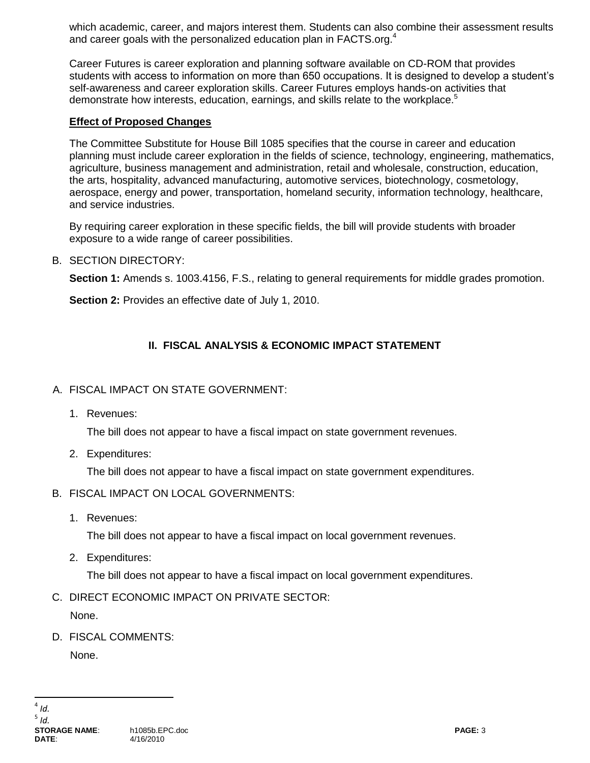which academic, career, and majors interest them. Students can also combine their assessment results and career goals with the personalized education plan in FACTS.org.<sup>4</sup>

Career Futures is career exploration and planning software available on CD-ROM that provides students with access to information on more than 650 occupations. It is designed to develop a student's self-awareness and career exploration skills. Career Futures employs hands-on activities that demonstrate how interests, education, earnings, and skills relate to the workplace. $5$ 

### **Effect of Proposed Changes**

The Committee Substitute for House Bill 1085 specifies that the course in career and education planning must include career exploration in the fields of science, technology, engineering, mathematics, agriculture, business management and administration, retail and wholesale, construction, education, the arts, hospitality, advanced manufacturing, automotive services, biotechnology, cosmetology, aerospace, energy and power, transportation, homeland security, information technology, healthcare, and service industries.

By requiring career exploration in these specific fields, the bill will provide students with broader exposure to a wide range of career possibilities.

### B. SECTION DIRECTORY:

**Section 1:** Amends s. 1003.4156, F.S., relating to general requirements for middle grades promotion.

**Section 2:** Provides an effective date of July 1, 2010.

# **II. FISCAL ANALYSIS & ECONOMIC IMPACT STATEMENT**

# A. FISCAL IMPACT ON STATE GOVERNMENT:

1. Revenues:

The bill does not appear to have a fiscal impact on state government revenues.

2. Expenditures:

The bill does not appear to have a fiscal impact on state government expenditures.

- B. FISCAL IMPACT ON LOCAL GOVERNMENTS:
	- 1. Revenues:

The bill does not appear to have a fiscal impact on local government revenues.

2. Expenditures:

The bill does not appear to have a fiscal impact on local government expenditures.

C. DIRECT ECONOMIC IMPACT ON PRIVATE SECTOR:

None.

D. FISCAL COMMENTS:

None.